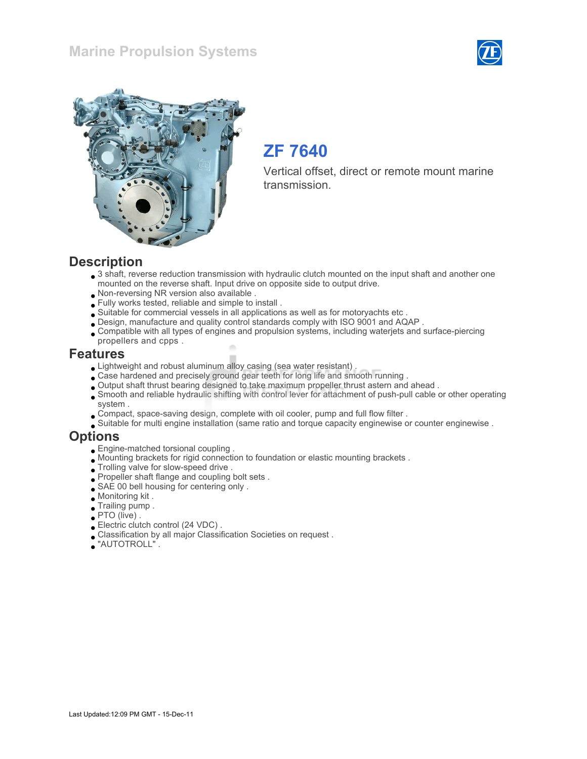### Marine Propulsion Systems





## ZF 7640

Vertical offset, direct or remote mount marine transmission.

#### **Description**

- 3 shaft, reverse reduction transmission with hydraulic clutch mounted on the input shaft and another one mounted on the reverse shaft. Input drive on opposite side to output drive.
- Non-reversing NR version also available .
- Fully works tested, reliable and simple to install .
- Suitable for commercial vessels in all applications as well as for motoryachts etc .
- Design, manufacture and quality control standards comply with ISO 9001 and AQAP .
- Compatible with all types of engines and propulsion systems, including waterjets and surface-piercing propellers and cpps .

#### Features

- Lightweight and robust aluminum alloy casing (sea water resistant) .
- Case hardened and precisely ground gear teeth for long life and smooth running .
- Output shaft thrust bearing designed to take maximum propeller thrust astern and ahead .
- Smooth and reliable hydraulic shifting with control lever for attachment of push-pull cable or other operating system .
- Compact, space-saving design, complete with oil cooler, pump and full flow filter .
- Suitable for multi engine installation (same ratio and torque capacity enginewise or counter enginewise .

#### **Options**

- Engine-matched torsional coupling .
- Mounting brackets for rigid connection to foundation or elastic mounting brackets .
- $\bullet$  Trolling valve for slow-speed drive .
- Propeller shaft flange and coupling bolt sets .
- SAE 00 bell housing for centering only .
- Monitoring kit .
- Trailing pump .
- PTO (live) .
- Electric clutch control (24 VDC) .
- Classification by all major Classification Societies on request .
- "AUTOTROLL" .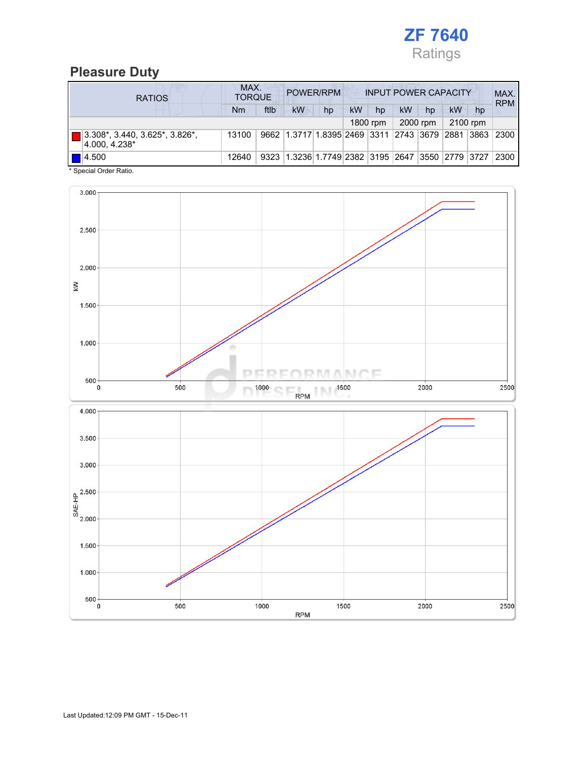

### Pleasure Duty

| <b>RATIOS</b>                                          | MAX.<br>POWER/RPM<br><b>INPUT POWER CAPACITY</b><br><b>TORQUE</b> |      |                                                  |    |           |          |    |          |    | MAX.<br><b>RPM</b> |      |
|--------------------------------------------------------|-------------------------------------------------------------------|------|--------------------------------------------------|----|-----------|----------|----|----------|----|--------------------|------|
|                                                        | Nm                                                                | ftlb | <b>kW</b>                                        | hp | <b>kW</b> | hp       | kW | hp       | kW | hp                 |      |
|                                                        |                                                                   |      |                                                  |    |           | 1800 rpm |    | 2000 rpm |    | 2100 rpm           |      |
| $ 3.308^* , 3.440, 3.625^* , 3.826^* $<br>4.000.4.238* | 13100                                                             |      | 9662 1.3717 1.8395 2469 3311 2743 3679 2881      |    |           |          |    |          |    | 3863               | 2300 |
| $\blacksquare$ 4.500                                   | 12640                                                             |      | 9323 1.3236 1.7749 2382 3195 2647 3550 2779 3727 |    |           |          |    |          |    |                    | 2300 |

\* Special Order Ratio.

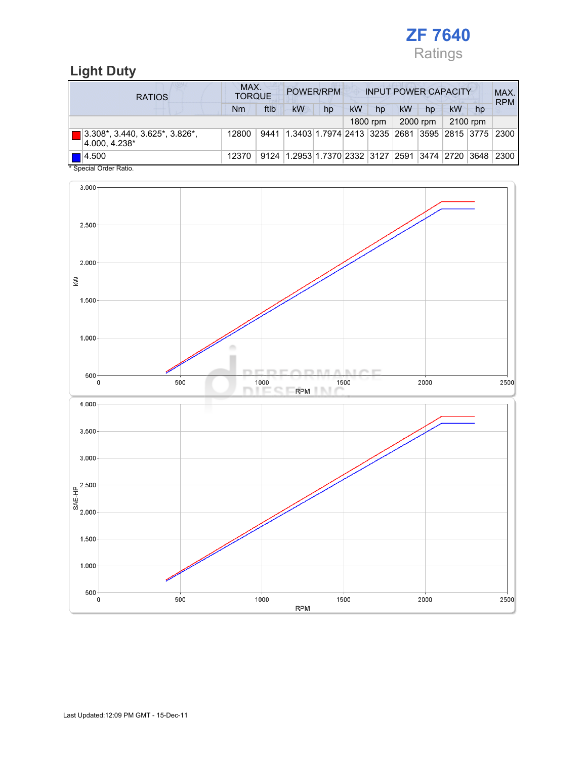

### Light Duty

| <b>RATIOS</b>                                     | MAX.<br>POWER/RPM<br><b>INPUT POWER CAPACITY</b><br><b>TORQUE</b> |      |                                                                  |    |    |          |    |          | MAX.<br><b>RPM</b> |          |                         |
|---------------------------------------------------|-------------------------------------------------------------------|------|------------------------------------------------------------------|----|----|----------|----|----------|--------------------|----------|-------------------------|
|                                                   | Nm                                                                | ftlb | kW                                                               | hp | kW | hp       | kW | hp       | kW                 | hp       |                         |
|                                                   |                                                                   |      |                                                                  |    |    | 1800 rpm |    | 2000 rpm |                    | 2100 rpm |                         |
| 3.308*, 3.440, 3.625*, 3.826*,<br>4.000.4.238*    | 12800                                                             | 9441 | 1.3403 1.7974 2413  3235  2681                                   |    |    |          |    |          |                    |          | 3595  2815  3775   2300 |
| $\blacksquare$ 4.500<br>$*$ 0. $*$ 10. $*$ 0. $*$ | 12370                                                             |      | 9124   1.2953   1.7370   2332   3127   2591   3474   2720   3648 |    |    |          |    |          |                    |          | 2300                    |

Special Order Ratio.

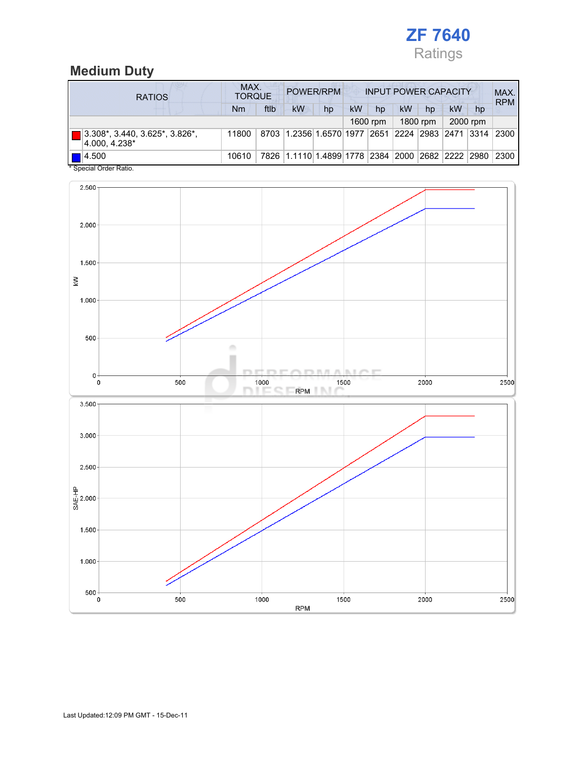

### Medium Duty

| <b>RATIOS</b>                                           | MAX.<br>POWER/RPM<br><b>TORQUE</b> |      |                                                  |    | <b>INPUT POWER CAPACITY</b> |          |    |          |           |          | MAX.<br><b>RPM</b> |
|---------------------------------------------------------|------------------------------------|------|--------------------------------------------------|----|-----------------------------|----------|----|----------|-----------|----------|--------------------|
|                                                         | Nm                                 | ftlb | <b>kW</b>                                        | hp | kW                          | hp       | kW | hp       | <b>kW</b> | hp       |                    |
|                                                         |                                    |      |                                                  |    |                             | 1600 rpm |    | 1800 rpm |           | 2000 rpm |                    |
| 3.308*, 3.440, 3.625*, 3.826*,<br>4.000.4.238*          | 11800                              |      | 8703 1.2356 1.6570 1977 2651 2224 2983 2471 3314 |    |                             |          |    |          |           |          | 2300               |
| $\blacksquare$ 4.500<br>$*$ On a simil Onder Definition | 10610                              |      | 7826 1.1110 1.4899 1778 2384 2000 2682 2222 2980 |    |                             |          |    |          |           |          | 2300               |

Special Order Ratio.

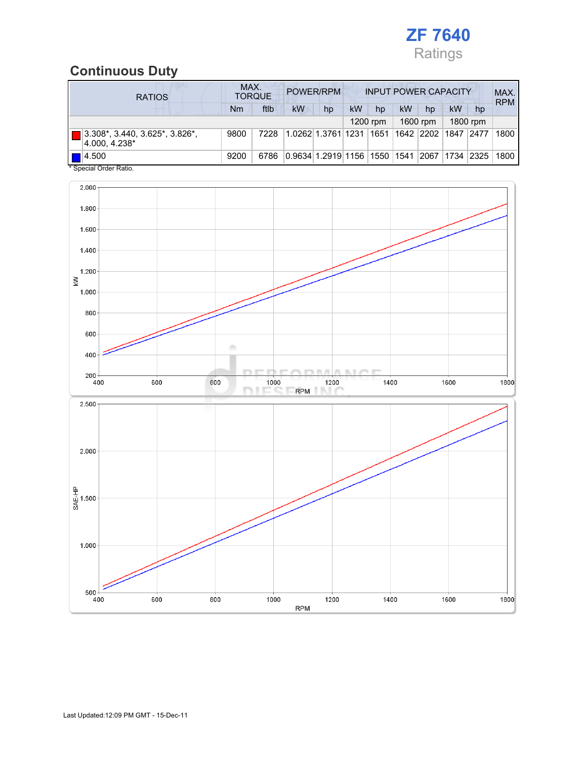

### Continuous Duty

| <b>RATIOS</b>                                                                | MAX. | <b>TORQUE</b> |    | POWER/RPM                    | <b>INPUT POWER CAPACITY</b> |          |    |            |            |          | MAX.<br><b>RPM</b> |
|------------------------------------------------------------------------------|------|---------------|----|------------------------------|-----------------------------|----------|----|------------|------------|----------|--------------------|
|                                                                              | Nm   | ftlb          | kW | hp                           | kW                          | hp       | kW | hp         | kW         | hp       |                    |
|                                                                              |      |               |    |                              |                             | 1200 rpm |    | 1600 rpm   |            | 1800 rpm |                    |
| $3.308^*$ , 3.440, 3.625 <sup>*</sup> , 3.826 <sup>*</sup> ,<br>4.000.4.238* | 9800 | 7228          |    | 1.0262 1.3761 1231           |                             | 1651     |    | 1642  2202 | 1847       | 2477     | 1800               |
| 14.500<br>* Checial Order Patio                                              | 9200 | 6786          |    | 0.9634 1.2919 1156 1550 1541 |                             |          |    | 2067       | 1734  2325 |          | 1800               |

Special Order Ration

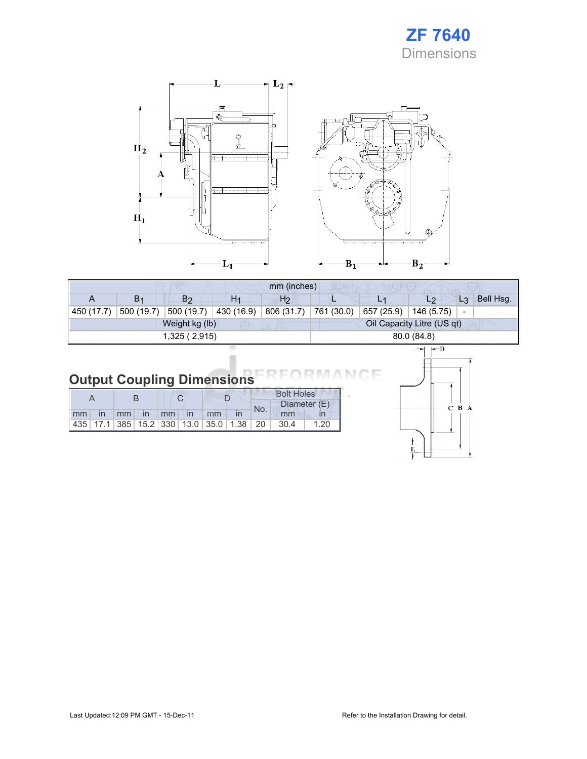



|            |                |                |                            | mm (inches)    |            |            |            |                          |           |  |
|------------|----------------|----------------|----------------------------|----------------|------------|------------|------------|--------------------------|-----------|--|
| A          | B <sub>1</sub> | B <sub>2</sub> | H <sub>1</sub>             | H <sub>2</sub> |            |            | L2         | $L_3$                    | Bell Hsq. |  |
| 450 (17.7) | 500 (19.7)     | 500 (19.7)     | 430 (16.9)                 | 806 (31.7)     | 761 (30.0) | 657 (25.9) | 146 (5.75) | $\overline{\phantom{a}}$ |           |  |
|            |                | Weight kg (lb) | Oil Capacity Litre (US qt) |                |            |            |            |                          |           |  |
|            |                | 1,325(2,915)   | 80.0 (84.8)                |                |            |            |            |                          |           |  |
|            |                |                |                            | $\leftarrow$ D |            |            |            |                          |           |  |

# **Output Coupling Dimensions**

|  |  |  |                       |  | <b>Bolt Holes</b> |                                                                |      |  |  |
|--|--|--|-----------------------|--|-------------------|----------------------------------------------------------------|------|--|--|
|  |  |  |                       |  | No.               | Diameter (E)                                                   |      |  |  |
|  |  |  | Imm in mm in mm in mm |  |                   | mm                                                             |      |  |  |
|  |  |  |                       |  |                   | 435   17.1   385   15.2   330   13.0   35.0   1.38   20   30.4 | 1.20 |  |  |